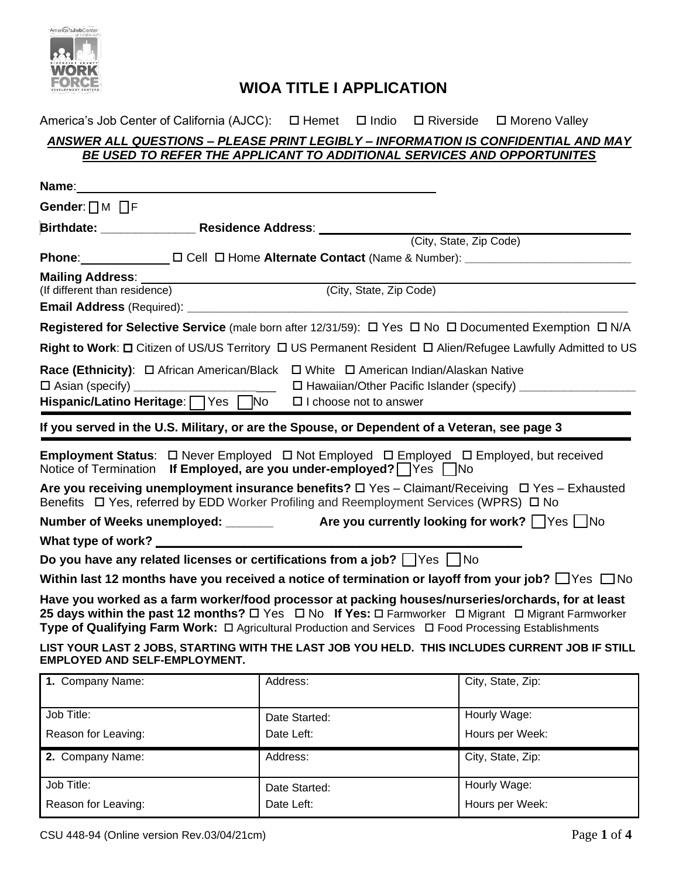

### America's Job Center of California (AJCC): □ Hemet □ Indio □ Riverside □ Moreno Valley *ANSWER ALL QUESTIONS – PLEASE PRINT LEGIBLY – INFORMATION IS CONFIDENTIAL AND MAY BE USED TO REFER THE APPLICANT TO ADDITIONAL SERVICES AND OPPORTUNITES*

|                                      | Name: We have a state of the state of the state of the state of the state of the state of the state of the state of the state of the state of the state of the state of the state of the state of the state of the state of th                                                                                                                      |
|--------------------------------------|-----------------------------------------------------------------------------------------------------------------------------------------------------------------------------------------------------------------------------------------------------------------------------------------------------------------------------------------------------|
| Gender: $\Box$ M $\Box$ F            |                                                                                                                                                                                                                                                                                                                                                     |
|                                      | Birthdate: ______________Residence Address: _____________                                                                                                                                                                                                                                                                                           |
|                                      | (City, State, Zip Code)                                                                                                                                                                                                                                                                                                                             |
|                                      | Phone: □ □ Cell □ Home Alternate Contact (Name & Number): ______________________                                                                                                                                                                                                                                                                    |
|                                      |                                                                                                                                                                                                                                                                                                                                                     |
| (If different than residence)        | (City, State, Zip Code)                                                                                                                                                                                                                                                                                                                             |
|                                      |                                                                                                                                                                                                                                                                                                                                                     |
|                                      | <b>Registered for Selective Service</b> (male born after 12/31/59): $\Box$ Yes $\Box$ No $\Box$ Documented Exemption $\Box$ N/A                                                                                                                                                                                                                     |
|                                      | Right to Work: □ Citizen of US/US Territory □ US Permanent Resident □ Alien/Refugee Lawfully Admitted to US                                                                                                                                                                                                                                         |
|                                      | Race (Ethnicity): □ African American/Black □ White □ American Indian/Alaskan Native                                                                                                                                                                                                                                                                 |
|                                      |                                                                                                                                                                                                                                                                                                                                                     |
|                                      | Hispanic/Latino Heritage: Yes No<br>$\Box$ I choose not to answer                                                                                                                                                                                                                                                                                   |
|                                      | If you served in the U.S. Military, or are the Spouse, or Dependent of a Veteran, see page 3                                                                                                                                                                                                                                                        |
|                                      | Employment Status: □ Never Employed □ Not Employed □ Employed □ Employed, but received<br>Notice of Termination If Employed, are you under-employed? Ves No                                                                                                                                                                                         |
|                                      | Are you receiving unemployment insurance benefits? $\Box$ Yes - Claimant/Receiving $\Box$ Yes - Exhausted<br>Benefits $\Box$ Yes, referred by EDD Worker Profiling and Reemployment Services (WPRS) $\Box$ No                                                                                                                                       |
|                                      | Number of Weeks unemployed: _______ Are you currently looking for work? △Yes △No                                                                                                                                                                                                                                                                    |
|                                      |                                                                                                                                                                                                                                                                                                                                                     |
|                                      | Do you have any related licenses or certifications from a job?    Yes    No                                                                                                                                                                                                                                                                         |
|                                      | Within last 12 months have you received a notice of termination or layoff from your job? $\Box$ Yes $\Box$ No                                                                                                                                                                                                                                       |
|                                      | Have you worked as a farm worker/food processor at packing houses/nurseries/orchards, for at least<br>25 days within the past 12 months? $\Box$ Yes $\Box$ No If Yes: $\Box$ Farmworker $\Box$ Migrant $\Box$ Migrant Farmworker<br>Type of Qualifying Farm Work: $\Box$ Agricultural Production and Services $\Box$ Food Processing Establishments |
| <b>EMPLOYED AND SELF-EMPLOYMENT.</b> | LIST YOUR LAST 2 JOBS, STARTING WITH THE LAST JOB YOU HELD. THIS INCLUDES CURRENT JOB IF STILL                                                                                                                                                                                                                                                      |

| 1. Company Name:    | Address:      | City, State, Zip: |  |
|---------------------|---------------|-------------------|--|
|                     |               |                   |  |
| Job Title:          | Date Started: | Hourly Wage:      |  |
| Reason for Leaving: | Date Left:    | Hours per Week:   |  |
| 2. Company Name:    | Address:      | City, State, Zip: |  |
| Job Title:          | Date Started: | Hourly Wage:      |  |
| Reason for Leaving: | Date Left:    | Hours per Week:   |  |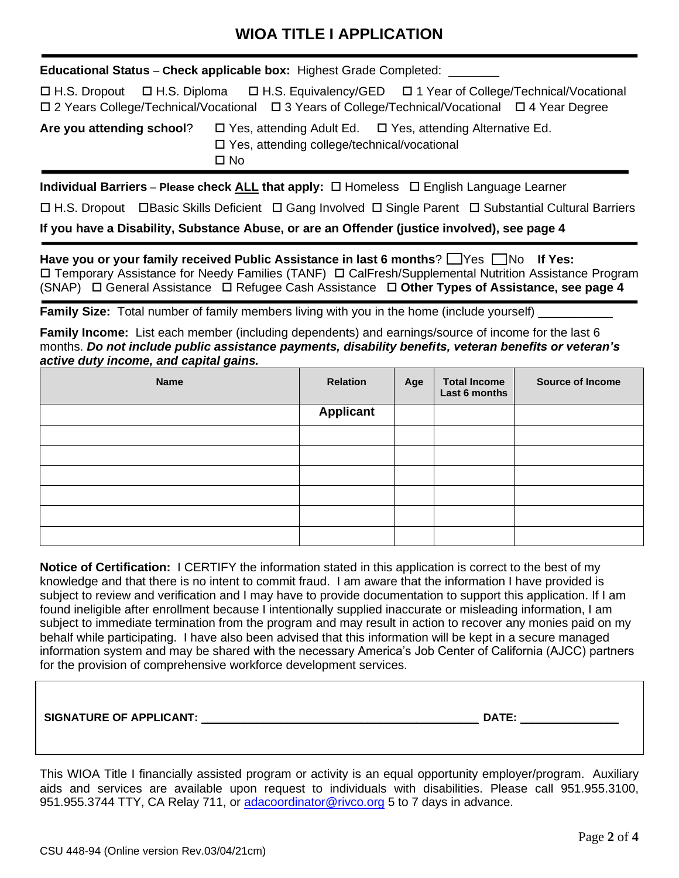**Educational Status** – **Check applicable box:** Highest Grade Completed: \_\_\_

 H.S. Dropout H.S. Diploma H.S. Equivalency/GED 1 Year of College/Technical/Vocational 2 Years College/Technical/Vocational 3 Years of College/Technical/Vocational 4 Year Degree

**Are you attending school**? Yes, attending Adult Ed. Yes, attending Alternative Ed. Yes, attending college/technical/vocational  $\Box$  No

**Individual Barriers** – **Please check <u>ALL</u> that apply:** □ Homeless □ English Language Learner

□ H.S. Dropout □ Basic Skills Deficient □ Gang Involved □ Single Parent □ Substantial Cultural Barriers

**If you have a Disability, Substance Abuse, or are an Offender (justice involved), see page 4**

**Have you or your family received Public Assistance in last 6 months?**  $\Box$  **Yes**  $\Box$  **No If Yes:**  Temporary Assistance for Needy Families (TANF) CalFresh/Supplemental Nutrition Assistance Program (SNAP) General Assistance Refugee Cash Assistance **Other Types of Assistance, see page 4**

**Family Size:** Total number of family members living with you in the home (include yourself)

**Family Income:** List each member (including dependents) and earnings/source of income for the last 6 months. *Do not include public assistance payments, disability benefits, veteran benefits or veteran's active duty income, and capital gains.*

| <b>Name</b> | <b>Relation</b>  | Age | <b>Total Income</b><br>Last 6 months | Source of Income |
|-------------|------------------|-----|--------------------------------------|------------------|
|             | <b>Applicant</b> |     |                                      |                  |
|             |                  |     |                                      |                  |
|             |                  |     |                                      |                  |
|             |                  |     |                                      |                  |
|             |                  |     |                                      |                  |
|             |                  |     |                                      |                  |
|             |                  |     |                                      |                  |

**Notice of Certification:** I CERTIFY the information stated in this application is correct to the best of my knowledge and that there is no intent to commit fraud. I am aware that the information I have provided is subject to review and verification and I may have to provide documentation to support this application. If I am found ineligible after enrollment because I intentionally supplied inaccurate or misleading information, I am subject to immediate termination from the program and may result in action to recover any monies paid on my behalf while participating. I have also been advised that this information will be kept in a secure managed information system and may be shared with the necessary America's Job Center of California (AJCC) partners for the provision of comprehensive workforce development services.

**SIGNATURE OF APPLICANT: \_\_\_\_\_\_\_\_\_\_\_\_\_\_\_\_\_\_\_\_\_\_\_\_\_\_\_\_\_\_\_\_\_\_\_\_\_\_\_\_\_\_\_\_\_ DATE: \_\_\_\_\_\_\_\_\_\_\_\_\_\_\_\_**

This WIOA Title I financially assisted program or activity is an equal opportunity employer/program. Auxiliary aids and services are available upon request to individuals with disabilities. Please call 951.955.3100, 951.955.3744 TTY, CA Relay 711, or [adacoordinator@rivco.org](mailto:adacoordinator@rivco.org) 5 to 7 days in advance.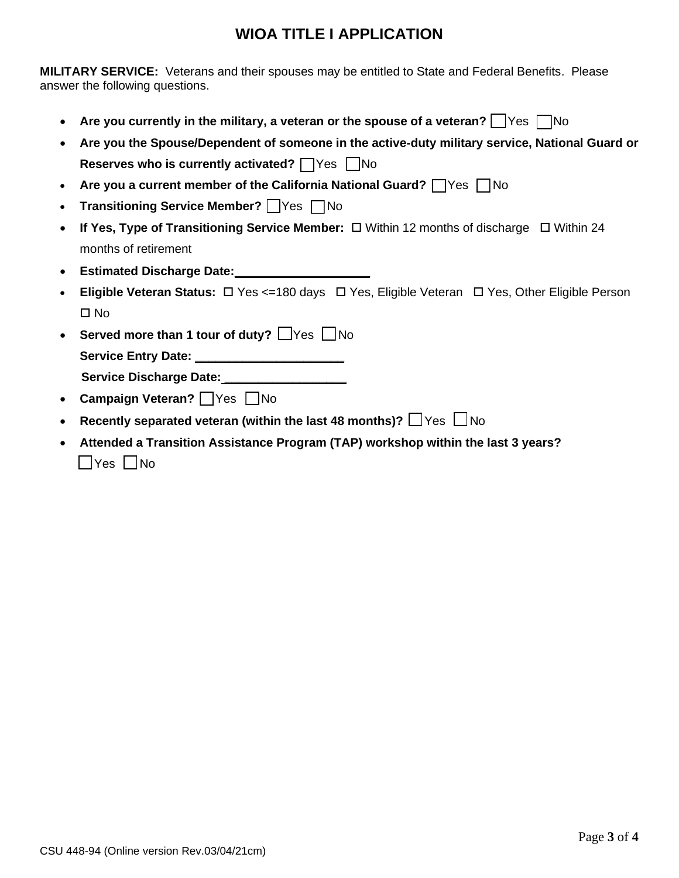**MILITARY SERVICE:** Veterans and their spouses may be entitled to State and Federal Benefits. Please answer the following questions.

- Are you currently in the military, a veteran or the spouse of a veteran?  $\Box$  Yes  $\Box$  No
- **Are you the Spouse/Dependent of someone in the active-duty military service, National Guard or Reserves who is currently activated? No**
- **Are you a current member of the California National Guard? Netcherry** No
- **Transitioning Service Member? P**Yes **P**No
- **If Yes, Type of Transitioning Service Member:**  $\Box$  Within 12 months of discharge  $\Box$  Within 24 months of retirement
- **Estimated Discharge Date:**
- **Eligible Veteran Status:** □ Yes <=180 days □ Yes, Eligible Veteran □ Yes, Other Eligible Person  $\square$  No
- **Served more than 1 tour of duty?**  $\Box$ Yes  $\Box$  No **Service Entry Date: \_\_\_\_\_\_\_\_\_\_\_\_\_\_\_\_\_\_\_\_\_\_ Service Discharge Date: \_\_\_\_\_\_\_\_\_\_\_\_\_\_\_\_\_\_**
- Campaign Veteran? **Yes** No
- Recently separated veteran (within the last 48 months)?  $\Box$  Yes  $\Box$  No
- **Attended a Transition Assistance Program (TAP) workshop within the last 3 years?**  $\Box$ Yes  $\Box$ No